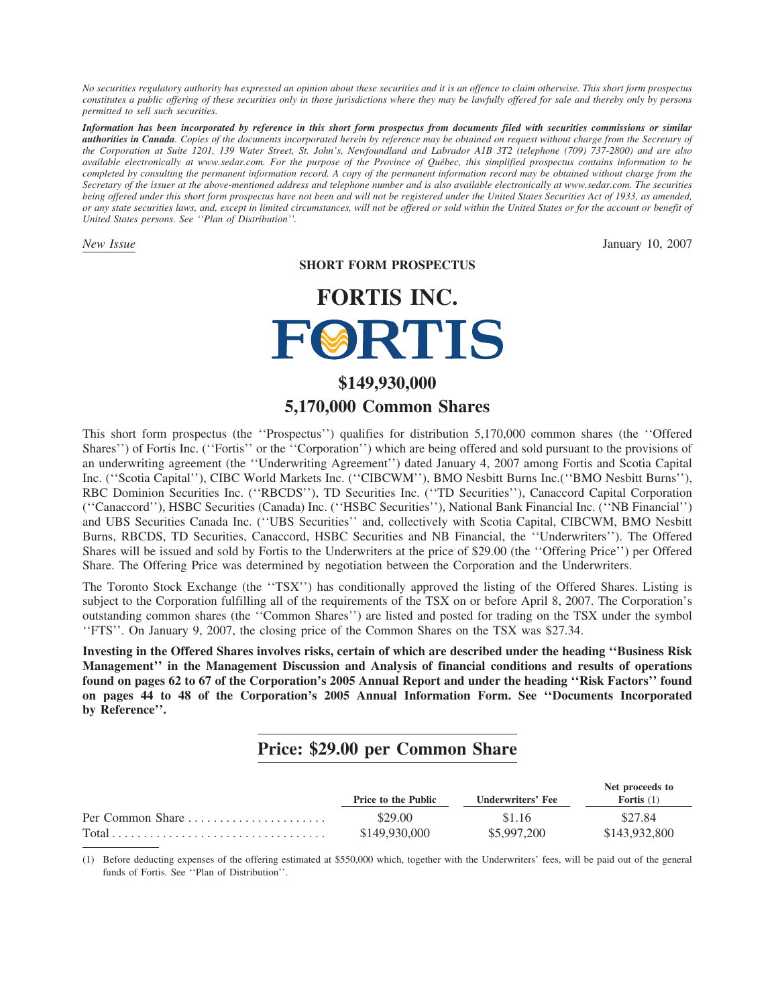*No securities regulatory authority has expressed an opinion about these securities and it is an offence to claim otherwise. This short form prospectus constitutes a public offering of these securities only in those jurisdictions where they may be lawfully offered for sale and thereby only by persons permitted to sell such securities.*

*Information has been incorporated by reference in this short form prospectus from documents filed with securities commissions or similar authorities in Canada. Copies of the documents incorporated herein by reference may be obtained on request without charge from the Secretary of the Corporation at Suite 1201, 139 Water Street, St. John's, Newfoundland and Labrador A1B 3T2 (telephone (709) 737-2800) and are also available electronically at www.sedar.com. For the purpose of the Province of Qu´ebec, this simplified prospectus contains information to be completed by consulting the permanent information record. A copy of the permanent information record may be obtained without charge from the Secretary of the issuer at the above-mentioned address and telephone number and is also available electronically at www.sedar.com. The securities being offered under this short form prospectus have not been and will not be registered under the United States Securities Act of 1933, as amended, or any state securities laws, and, except in limited circumstances, will not be offered or sold within the United States or for the account or benefit of United States persons. See ''Plan of Distribution''.*

*New Issue* January 10, 2007

**SHORT FORM PROSPECTUS**

# **FORTIS INC.** FØRTIS

# **\$149,930,000 5,170,000 Common Shares**

This short form prospectus (the ''Prospectus'') qualifies for distribution 5,170,000 common shares (the ''Offered Shares'') of Fortis Inc. (''Fortis'' or the ''Corporation'') which are being offered and sold pursuant to the provisions of an underwriting agreement (the ''Underwriting Agreement'') dated January 4, 2007 among Fortis and Scotia Capital Inc. (''Scotia Capital''), CIBC World Markets Inc. (''CIBCWM''), BMO Nesbitt Burns Inc.(''BMO Nesbitt Burns''), RBC Dominion Securities Inc. (''RBCDS''), TD Securities Inc. (''TD Securities''), Canaccord Capital Corporation (''Canaccord''), HSBC Securities (Canada) Inc. (''HSBC Securities''), National Bank Financial Inc. (''NB Financial'') and UBS Securities Canada Inc. (''UBS Securities'' and, collectively with Scotia Capital, CIBCWM, BMO Nesbitt Burns, RBCDS, TD Securities, Canaccord, HSBC Securities and NB Financial, the ''Underwriters''). The Offered Shares will be issued and sold by Fortis to the Underwriters at the price of \$29.00 (the ''Offering Price'') per Offered Share. The Offering Price was determined by negotiation between the Corporation and the Underwriters.

The Toronto Stock Exchange (the ''TSX'') has conditionally approved the listing of the Offered Shares. Listing is subject to the Corporation fulfilling all of the requirements of the TSX on or before April 8, 2007. The Corporation's outstanding common shares (the ''Common Shares'') are listed and posted for trading on the TSX under the symbol ''FTS''. On January 9, 2007, the closing price of the Common Shares on the TSX was \$27.34.

**Investing in the Offered Shares involves risks, certain of which are described under the heading ''Business Risk Management'' in the Management Discussion and Analysis of financial conditions and results of operations found on pages 62 to 67 of the Corporation's 2005 Annual Report and under the heading ''Risk Factors'' found on pages 44 to 48 of the Corporation's 2005 Annual Information Form. See ''Documents Incorporated by Reference''.**

# **Price: \$29.00 per Common Share**

|                                                                                 | <b>Price to the Public</b> | Underwriters' Fee | Net proceeds to<br>Fortis $(1)$ |
|---------------------------------------------------------------------------------|----------------------------|-------------------|---------------------------------|
| Per Common Share $\ldots$ , $\ldots$ , $\ldots$                                 | \$29.00                    | \$1.16            | \$27.84                         |
| $Total \dots \dots \dots \dots \dots \dots \dots \dots \dots \dots \dots \dots$ | \$149,930,000              | \$5,997,200       | \$143,932,800                   |

(1) Before deducting expenses of the offering estimated at \$550,000 which, together with the Underwriters' fees, will be paid out of the general funds of Fortis. See ''Plan of Distribution''.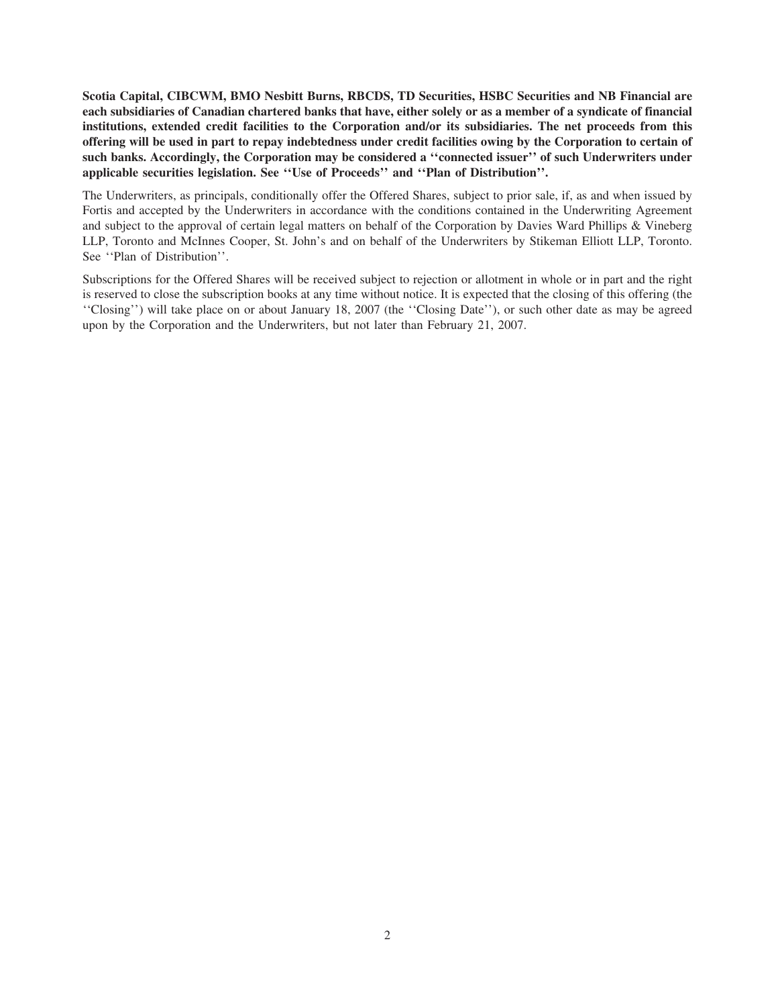**Scotia Capital, CIBCWM, BMO Nesbitt Burns, RBCDS, TD Securities, HSBC Securities and NB Financial are each subsidiaries of Canadian chartered banks that have, either solely or as a member of a syndicate of financial institutions, extended credit facilities to the Corporation and/or its subsidiaries. The net proceeds from this offering will be used in part to repay indebtedness under credit facilities owing by the Corporation to certain of such banks. Accordingly, the Corporation may be considered a ''connected issuer'' of such Underwriters under applicable securities legislation. See ''Use of Proceeds'' and ''Plan of Distribution''.**

The Underwriters, as principals, conditionally offer the Offered Shares, subject to prior sale, if, as and when issued by Fortis and accepted by the Underwriters in accordance with the conditions contained in the Underwriting Agreement and subject to the approval of certain legal matters on behalf of the Corporation by Davies Ward Phillips & Vineberg LLP, Toronto and McInnes Cooper, St. John's and on behalf of the Underwriters by Stikeman Elliott LLP, Toronto. See ''Plan of Distribution''.

Subscriptions for the Offered Shares will be received subject to rejection or allotment in whole or in part and the right is reserved to close the subscription books at any time without notice. It is expected that the closing of this offering (the ''Closing'') will take place on or about January 18, 2007 (the ''Closing Date''), or such other date as may be agreed upon by the Corporation and the Underwriters, but not later than February 21, 2007.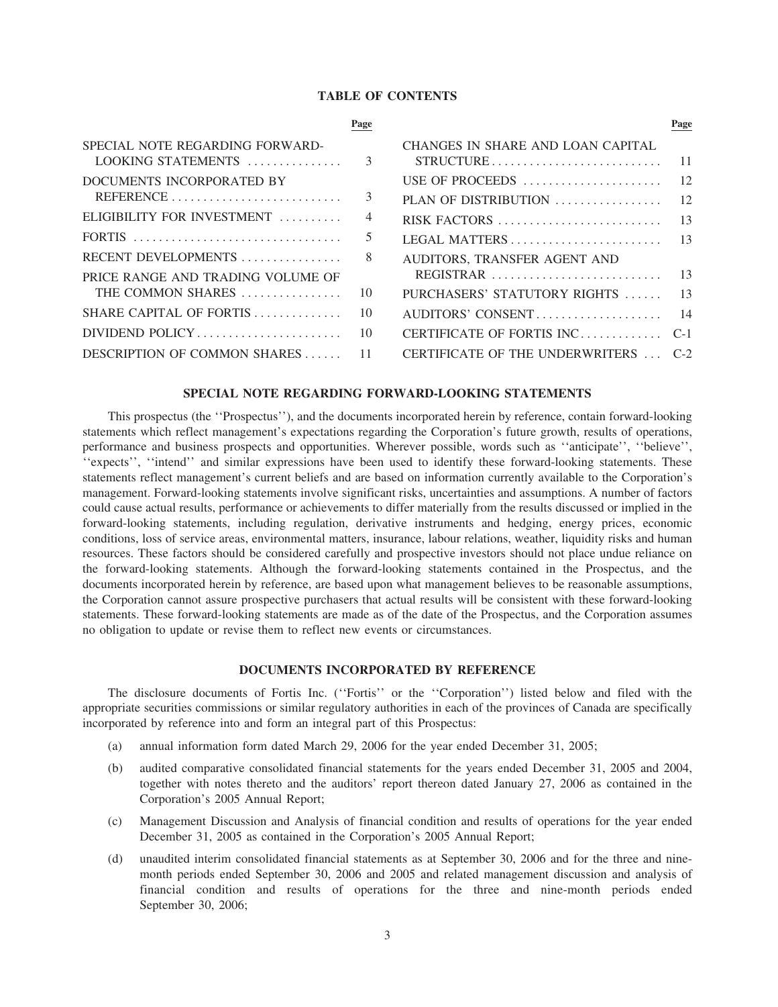#### **TABLE OF CONTENTS**

|                                                                                       | Page           |                                                                                                              | Page |
|---------------------------------------------------------------------------------------|----------------|--------------------------------------------------------------------------------------------------------------|------|
| SPECIAL NOTE REGARDING FORWARD-                                                       |                | CHANGES IN SHARE AND LOAN CAPITAL<br>$STRUCTURE \dots \dots \dots \dots \dots \dots \dots \dots \dots \dots$ | - 11 |
| DOCUMENTS INCORPORATED BY                                                             |                | USE OF PROCEEDS                                                                                              | - 12 |
|                                                                                       | 3              |                                                                                                              |      |
| ELIGIBILITY FOR INVESTMENT                                                            | $\overline{4}$ |                                                                                                              |      |
| FORTIS $\ldots \ldots \ldots \ldots \ldots \ldots \ldots \ldots \ldots \ldots \ldots$ | 5              |                                                                                                              |      |
| RECENT DEVELOPMENTS $\ldots \ldots \ldots \ldots$ 8                                   |                | AUDITORS, TRANSFER AGENT AND                                                                                 |      |
| PRICE RANGE AND TRADING VOLUME OF                                                     |                | REGISTRAR $\ldots \ldots \ldots \ldots \ldots \ldots \ldots \ldots$ 13                                       |      |
|                                                                                       |                | PURCHASERS' STATUTORY RIGHTS  13                                                                             |      |
|                                                                                       |                |                                                                                                              |      |
|                                                                                       |                | CERTIFICATE OF FORTIS INC C-1                                                                                |      |
| DESCRIPTION OF COMMON SHARES 11                                                       |                | CERTIFICATE OF THE UNDERWRITERS  C-2                                                                         |      |
|                                                                                       |                |                                                                                                              |      |

# **SPECIAL NOTE REGARDING FORWARD-LOOKING STATEMENTS**

This prospectus (the ''Prospectus''), and the documents incorporated herein by reference, contain forward-looking statements which reflect management's expectations regarding the Corporation's future growth, results of operations, performance and business prospects and opportunities. Wherever possible, words such as ''anticipate'', ''believe'', "expects", "intend" and similar expressions have been used to identify these forward-looking statements. These statements reflect management's current beliefs and are based on information currently available to the Corporation's management. Forward-looking statements involve significant risks, uncertainties and assumptions. A number of factors could cause actual results, performance or achievements to differ materially from the results discussed or implied in the forward-looking statements, including regulation, derivative instruments and hedging, energy prices, economic conditions, loss of service areas, environmental matters, insurance, labour relations, weather, liquidity risks and human resources. These factors should be considered carefully and prospective investors should not place undue reliance on the forward-looking statements. Although the forward-looking statements contained in the Prospectus, and the documents incorporated herein by reference, are based upon what management believes to be reasonable assumptions, the Corporation cannot assure prospective purchasers that actual results will be consistent with these forward-looking statements. These forward-looking statements are made as of the date of the Prospectus, and the Corporation assumes no obligation to update or revise them to reflect new events or circumstances.

# **DOCUMENTS INCORPORATED BY REFERENCE**

The disclosure documents of Fortis Inc. (''Fortis'' or the ''Corporation'') listed below and filed with the appropriate securities commissions or similar regulatory authorities in each of the provinces of Canada are specifically incorporated by reference into and form an integral part of this Prospectus:

- (a) annual information form dated March 29, 2006 for the year ended December 31, 2005;
- (b) audited comparative consolidated financial statements for the years ended December 31, 2005 and 2004, together with notes thereto and the auditors' report thereon dated January 27, 2006 as contained in the Corporation's 2005 Annual Report;
- (c) Management Discussion and Analysis of financial condition and results of operations for the year ended December 31, 2005 as contained in the Corporation's 2005 Annual Report;
- (d) unaudited interim consolidated financial statements as at September 30, 2006 and for the three and ninemonth periods ended September 30, 2006 and 2005 and related management discussion and analysis of financial condition and results of operations for the three and nine-month periods ended September 30, 2006;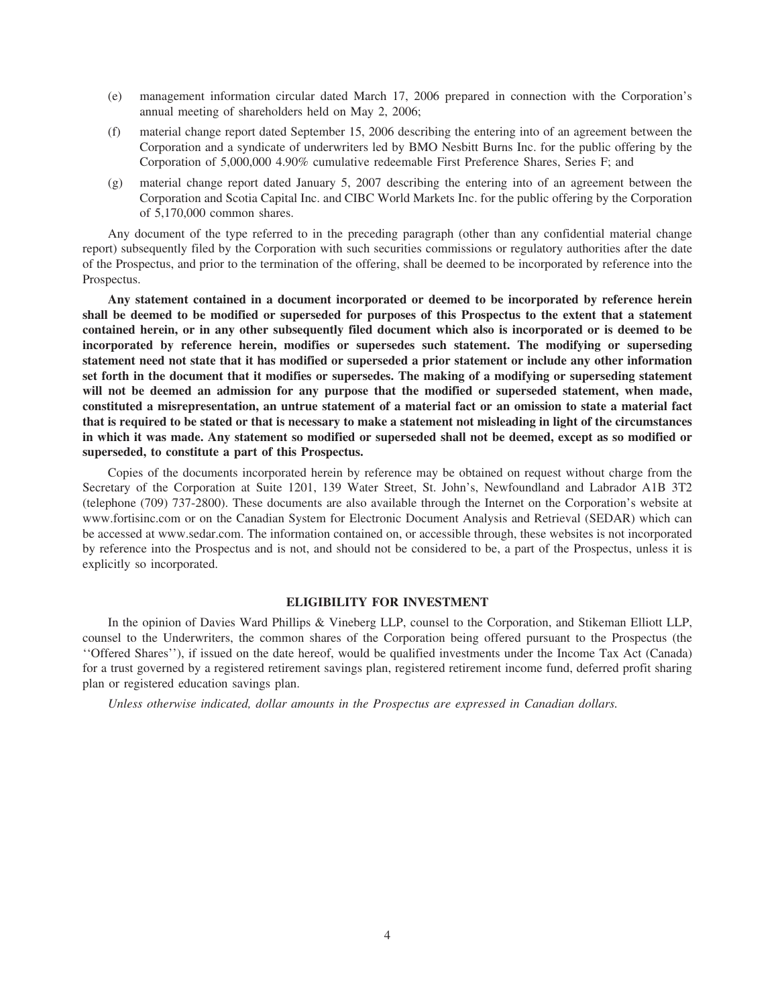- (e) management information circular dated March 17, 2006 prepared in connection with the Corporation's annual meeting of shareholders held on May 2, 2006;
- (f) material change report dated September 15, 2006 describing the entering into of an agreement between the Corporation and a syndicate of underwriters led by BMO Nesbitt Burns Inc. for the public offering by the Corporation of 5,000,000 4.90% cumulative redeemable First Preference Shares, Series F; and
- (g) material change report dated January 5, 2007 describing the entering into of an agreement between the Corporation and Scotia Capital Inc. and CIBC World Markets Inc. for the public offering by the Corporation of 5,170,000 common shares.

Any document of the type referred to in the preceding paragraph (other than any confidential material change report) subsequently filed by the Corporation with such securities commissions or regulatory authorities after the date of the Prospectus, and prior to the termination of the offering, shall be deemed to be incorporated by reference into the Prospectus.

**Any statement contained in a document incorporated or deemed to be incorporated by reference herein shall be deemed to be modified or superseded for purposes of this Prospectus to the extent that a statement contained herein, or in any other subsequently filed document which also is incorporated or is deemed to be incorporated by reference herein, modifies or supersedes such statement. The modifying or superseding statement need not state that it has modified or superseded a prior statement or include any other information set forth in the document that it modifies or supersedes. The making of a modifying or superseding statement will not be deemed an admission for any purpose that the modified or superseded statement, when made, constituted a misrepresentation, an untrue statement of a material fact or an omission to state a material fact that is required to be stated or that is necessary to make a statement not misleading in light of the circumstances in which it was made. Any statement so modified or superseded shall not be deemed, except as so modified or superseded, to constitute a part of this Prospectus.**

Copies of the documents incorporated herein by reference may be obtained on request without charge from the Secretary of the Corporation at Suite 1201, 139 Water Street, St. John's, Newfoundland and Labrador A1B 3T2 (telephone (709) 737-2800). These documents are also available through the Internet on the Corporation's website at www.fortisinc.com or on the Canadian System for Electronic Document Analysis and Retrieval (SEDAR) which can be accessed at www.sedar.com. The information contained on, or accessible through, these websites is not incorporated by reference into the Prospectus and is not, and should not be considered to be, a part of the Prospectus, unless it is explicitly so incorporated.

# **ELIGIBILITY FOR INVESTMENT**

In the opinion of Davies Ward Phillips & Vineberg LLP, counsel to the Corporation, and Stikeman Elliott LLP, counsel to the Underwriters, the common shares of the Corporation being offered pursuant to the Prospectus (the ''Offered Shares''), if issued on the date hereof, would be qualified investments under the Income Tax Act (Canada) for a trust governed by a registered retirement savings plan, registered retirement income fund, deferred profit sharing plan or registered education savings plan.

*Unless otherwise indicated, dollar amounts in the Prospectus are expressed in Canadian dollars.*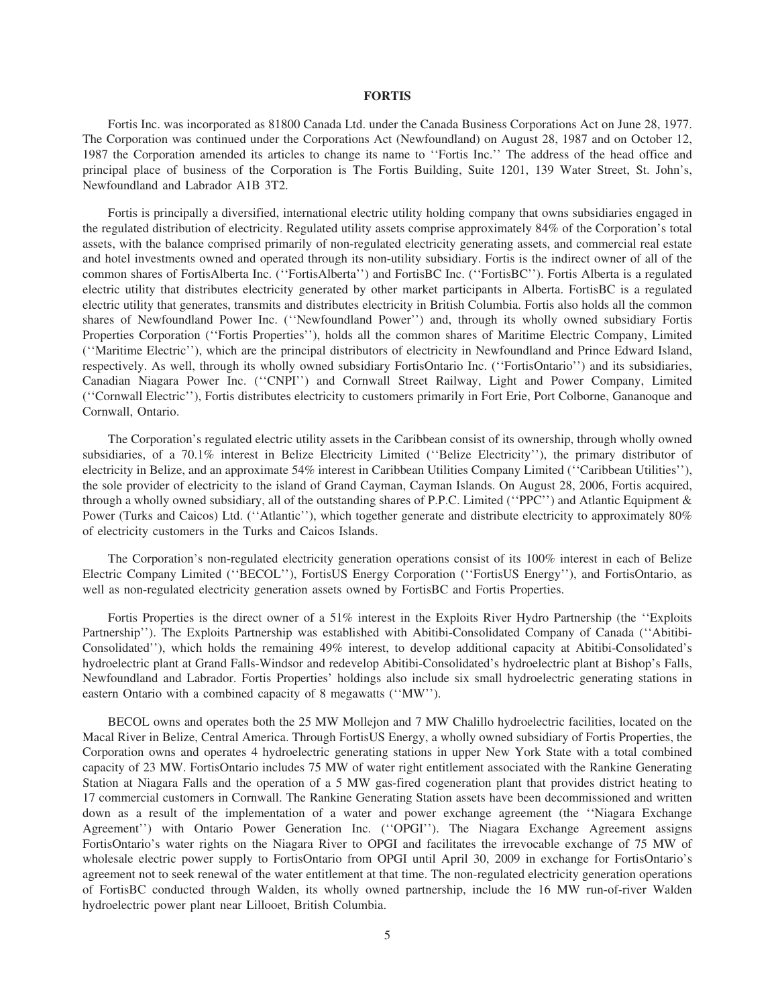#### **FORTIS**

Fortis Inc. was incorporated as 81800 Canada Ltd. under the Canada Business Corporations Act on June 28, 1977. The Corporation was continued under the Corporations Act (Newfoundland) on August 28, 1987 and on October 12, 1987 the Corporation amended its articles to change its name to ''Fortis Inc.'' The address of the head office and principal place of business of the Corporation is The Fortis Building, Suite 1201, 139 Water Street, St. John's, Newfoundland and Labrador A1B 3T2.

Fortis is principally a diversified, international electric utility holding company that owns subsidiaries engaged in the regulated distribution of electricity. Regulated utility assets comprise approximately 84% of the Corporation's total assets, with the balance comprised primarily of non-regulated electricity generating assets, and commercial real estate and hotel investments owned and operated through its non-utility subsidiary. Fortis is the indirect owner of all of the common shares of FortisAlberta Inc. (''FortisAlberta'') and FortisBC Inc. (''FortisBC''). Fortis Alberta is a regulated electric utility that distributes electricity generated by other market participants in Alberta. FortisBC is a regulated electric utility that generates, transmits and distributes electricity in British Columbia. Fortis also holds all the common shares of Newfoundland Power Inc. (''Newfoundland Power'') and, through its wholly owned subsidiary Fortis Properties Corporation (''Fortis Properties''), holds all the common shares of Maritime Electric Company, Limited (''Maritime Electric''), which are the principal distributors of electricity in Newfoundland and Prince Edward Island, respectively. As well, through its wholly owned subsidiary FortisOntario Inc. (''FortisOntario'') and its subsidiaries, Canadian Niagara Power Inc. (''CNPI'') and Cornwall Street Railway, Light and Power Company, Limited (''Cornwall Electric''), Fortis distributes electricity to customers primarily in Fort Erie, Port Colborne, Gananoque and Cornwall, Ontario.

The Corporation's regulated electric utility assets in the Caribbean consist of its ownership, through wholly owned subsidiaries, of a 70.1% interest in Belize Electricity Limited (''Belize Electricity''), the primary distributor of electricity in Belize, and an approximate 54% interest in Caribbean Utilities Company Limited (''Caribbean Utilities''), the sole provider of electricity to the island of Grand Cayman, Cayman Islands. On August 28, 2006, Fortis acquired, through a wholly owned subsidiary, all of the outstanding shares of P.P.C. Limited (''PPC'') and Atlantic Equipment & Power (Turks and Caicos) Ltd. (''Atlantic''), which together generate and distribute electricity to approximately 80% of electricity customers in the Turks and Caicos Islands.

The Corporation's non-regulated electricity generation operations consist of its 100% interest in each of Belize Electric Company Limited (''BECOL''), FortisUS Energy Corporation (''FortisUS Energy''), and FortisOntario, as well as non-regulated electricity generation assets owned by FortisBC and Fortis Properties.

Fortis Properties is the direct owner of a 51% interest in the Exploits River Hydro Partnership (the ''Exploits Partnership''). The Exploits Partnership was established with Abitibi-Consolidated Company of Canada (''Abitibi-Consolidated''), which holds the remaining 49% interest, to develop additional capacity at Abitibi-Consolidated's hydroelectric plant at Grand Falls-Windsor and redevelop Abitibi-Consolidated's hydroelectric plant at Bishop's Falls, Newfoundland and Labrador. Fortis Properties' holdings also include six small hydroelectric generating stations in eastern Ontario with a combined capacity of 8 megawatts (''MW'').

BECOL owns and operates both the 25 MW Mollejon and 7 MW Chalillo hydroelectric facilities, located on the Macal River in Belize, Central America. Through FortisUS Energy, a wholly owned subsidiary of Fortis Properties, the Corporation owns and operates 4 hydroelectric generating stations in upper New York State with a total combined capacity of 23 MW. FortisOntario includes 75 MW of water right entitlement associated with the Rankine Generating Station at Niagara Falls and the operation of a 5 MW gas-fired cogeneration plant that provides district heating to 17 commercial customers in Cornwall. The Rankine Generating Station assets have been decommissioned and written down as a result of the implementation of a water and power exchange agreement (the ''Niagara Exchange Agreement'') with Ontario Power Generation Inc. (''OPGI''). The Niagara Exchange Agreement assigns FortisOntario's water rights on the Niagara River to OPGI and facilitates the irrevocable exchange of 75 MW of wholesale electric power supply to FortisOntario from OPGI until April 30, 2009 in exchange for FortisOntario's agreement not to seek renewal of the water entitlement at that time. The non-regulated electricity generation operations of FortisBC conducted through Walden, its wholly owned partnership, include the 16 MW run-of-river Walden hydroelectric power plant near Lillooet, British Columbia.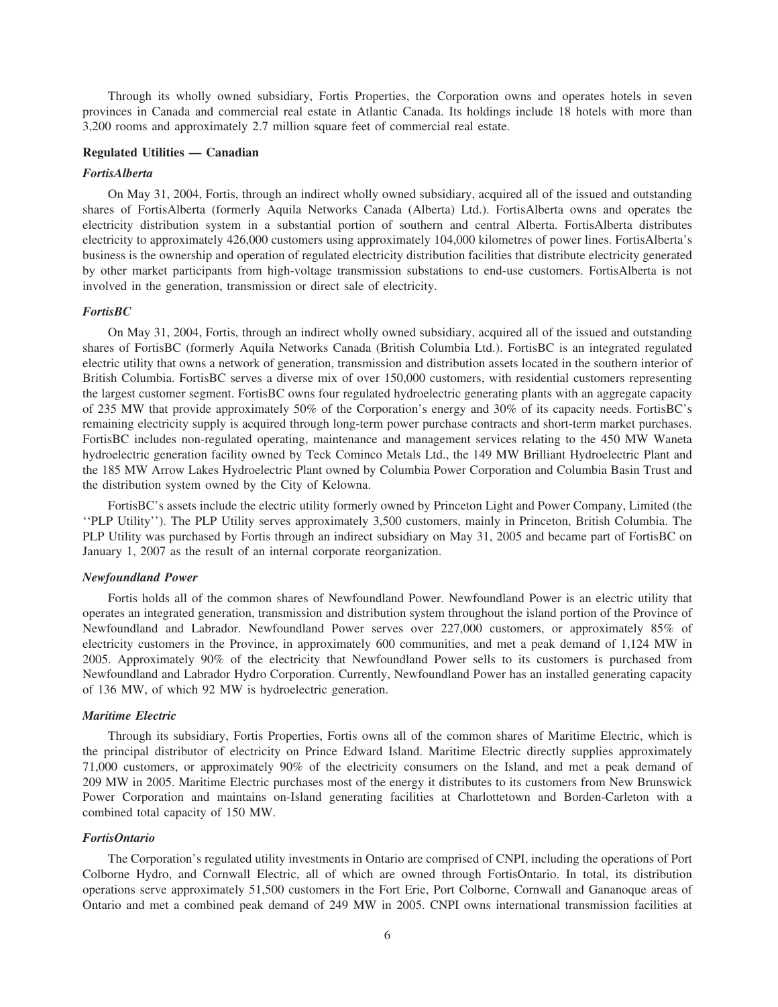Through its wholly owned subsidiary, Fortis Properties, the Corporation owns and operates hotels in seven provinces in Canada and commercial real estate in Atlantic Canada. Its holdings include 18 hotels with more than 3,200 rooms and approximately 2.7 million square feet of commercial real estate.

#### **Regulated Utilities — Canadian**

#### *FortisAlberta*

On May 31, 2004, Fortis, through an indirect wholly owned subsidiary, acquired all of the issued and outstanding shares of FortisAlberta (formerly Aquila Networks Canada (Alberta) Ltd.). FortisAlberta owns and operates the electricity distribution system in a substantial portion of southern and central Alberta. FortisAlberta distributes electricity to approximately 426,000 customers using approximately 104,000 kilometres of power lines. FortisAlberta's business is the ownership and operation of regulated electricity distribution facilities that distribute electricity generated by other market participants from high-voltage transmission substations to end-use customers. FortisAlberta is not involved in the generation, transmission or direct sale of electricity.

#### *FortisBC*

On May 31, 2004, Fortis, through an indirect wholly owned subsidiary, acquired all of the issued and outstanding shares of FortisBC (formerly Aquila Networks Canada (British Columbia Ltd.). FortisBC is an integrated regulated electric utility that owns a network of generation, transmission and distribution assets located in the southern interior of British Columbia. FortisBC serves a diverse mix of over 150,000 customers, with residential customers representing the largest customer segment. FortisBC owns four regulated hydroelectric generating plants with an aggregate capacity of 235 MW that provide approximately 50% of the Corporation's energy and 30% of its capacity needs. FortisBC's remaining electricity supply is acquired through long-term power purchase contracts and short-term market purchases. FortisBC includes non-regulated operating, maintenance and management services relating to the 450 MW Waneta hydroelectric generation facility owned by Teck Cominco Metals Ltd., the 149 MW Brilliant Hydroelectric Plant and the 185 MW Arrow Lakes Hydroelectric Plant owned by Columbia Power Corporation and Columbia Basin Trust and the distribution system owned by the City of Kelowna.

FortisBC's assets include the electric utility formerly owned by Princeton Light and Power Company, Limited (the ''PLP Utility''). The PLP Utility serves approximately 3,500 customers, mainly in Princeton, British Columbia. The PLP Utility was purchased by Fortis through an indirect subsidiary on May 31, 2005 and became part of FortisBC on January 1, 2007 as the result of an internal corporate reorganization.

#### *Newfoundland Power*

Fortis holds all of the common shares of Newfoundland Power. Newfoundland Power is an electric utility that operates an integrated generation, transmission and distribution system throughout the island portion of the Province of Newfoundland and Labrador. Newfoundland Power serves over 227,000 customers, or approximately 85% of electricity customers in the Province, in approximately 600 communities, and met a peak demand of 1,124 MW in 2005. Approximately 90% of the electricity that Newfoundland Power sells to its customers is purchased from Newfoundland and Labrador Hydro Corporation. Currently, Newfoundland Power has an installed generating capacity of 136 MW, of which 92 MW is hydroelectric generation.

#### *Maritime Electric*

Through its subsidiary, Fortis Properties, Fortis owns all of the common shares of Maritime Electric, which is the principal distributor of electricity on Prince Edward Island. Maritime Electric directly supplies approximately 71,000 customers, or approximately 90% of the electricity consumers on the Island, and met a peak demand of 209 MW in 2005. Maritime Electric purchases most of the energy it distributes to its customers from New Brunswick Power Corporation and maintains on-Island generating facilities at Charlottetown and Borden-Carleton with a combined total capacity of 150 MW.

## *FortisOntario*

The Corporation's regulated utility investments in Ontario are comprised of CNPI, including the operations of Port Colborne Hydro, and Cornwall Electric, all of which are owned through FortisOntario. In total, its distribution operations serve approximately 51,500 customers in the Fort Erie, Port Colborne, Cornwall and Gananoque areas of Ontario and met a combined peak demand of 249 MW in 2005. CNPI owns international transmission facilities at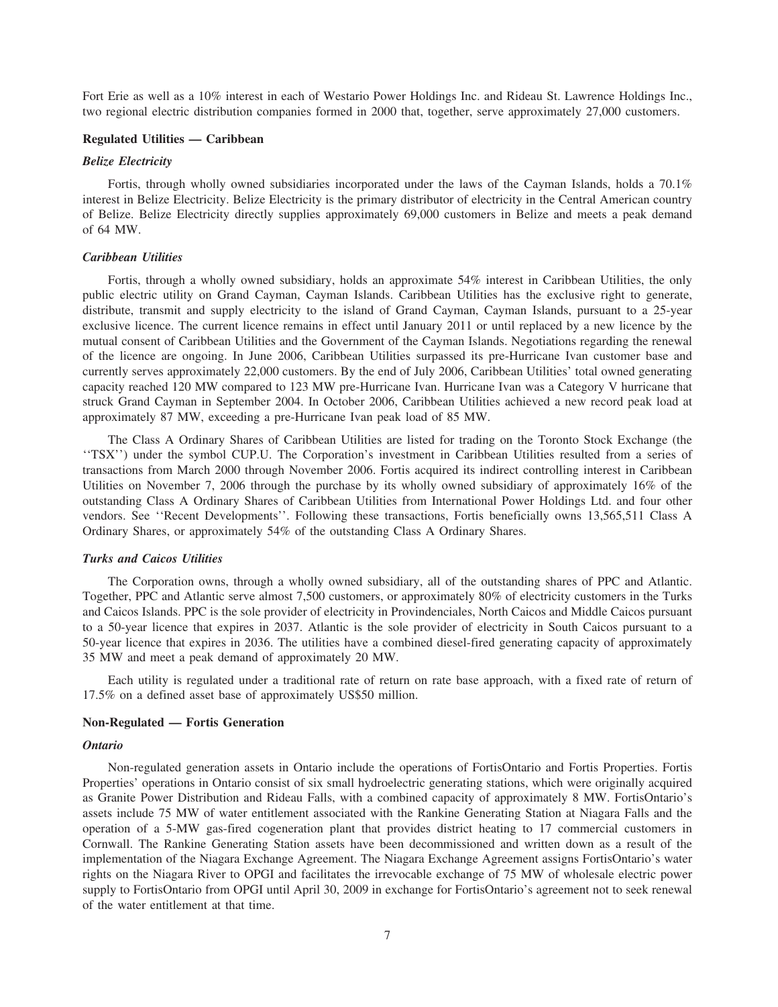Fort Erie as well as a 10% interest in each of Westario Power Holdings Inc. and Rideau St. Lawrence Holdings Inc., two regional electric distribution companies formed in 2000 that, together, serve approximately 27,000 customers.

#### **Regulated Utilities — Caribbean**

## *Belize Electricity*

Fortis, through wholly owned subsidiaries incorporated under the laws of the Cayman Islands, holds a 70.1% interest in Belize Electricity. Belize Electricity is the primary distributor of electricity in the Central American country of Belize. Belize Electricity directly supplies approximately 69,000 customers in Belize and meets a peak demand of 64 MW.

#### *Caribbean Utilities*

Fortis, through a wholly owned subsidiary, holds an approximate 54% interest in Caribbean Utilities, the only public electric utility on Grand Cayman, Cayman Islands. Caribbean Utilities has the exclusive right to generate, distribute, transmit and supply electricity to the island of Grand Cayman, Cayman Islands, pursuant to a 25-year exclusive licence. The current licence remains in effect until January 2011 or until replaced by a new licence by the mutual consent of Caribbean Utilities and the Government of the Cayman Islands. Negotiations regarding the renewal of the licence are ongoing. In June 2006, Caribbean Utilities surpassed its pre-Hurricane Ivan customer base and currently serves approximately 22,000 customers. By the end of July 2006, Caribbean Utilities' total owned generating capacity reached 120 MW compared to 123 MW pre-Hurricane Ivan. Hurricane Ivan was a Category V hurricane that struck Grand Cayman in September 2004. In October 2006, Caribbean Utilities achieved a new record peak load at approximately 87 MW, exceeding a pre-Hurricane Ivan peak load of 85 MW.

The Class A Ordinary Shares of Caribbean Utilities are listed for trading on the Toronto Stock Exchange (the ''TSX'') under the symbol CUP.U. The Corporation's investment in Caribbean Utilities resulted from a series of transactions from March 2000 through November 2006. Fortis acquired its indirect controlling interest in Caribbean Utilities on November 7, 2006 through the purchase by its wholly owned subsidiary of approximately 16% of the outstanding Class A Ordinary Shares of Caribbean Utilities from International Power Holdings Ltd. and four other vendors. See ''Recent Developments''. Following these transactions, Fortis beneficially owns 13,565,511 Class A Ordinary Shares, or approximately 54% of the outstanding Class A Ordinary Shares.

#### *Turks and Caicos Utilities*

The Corporation owns, through a wholly owned subsidiary, all of the outstanding shares of PPC and Atlantic. Together, PPC and Atlantic serve almost 7,500 customers, or approximately 80% of electricity customers in the Turks and Caicos Islands. PPC is the sole provider of electricity in Provindenciales, North Caicos and Middle Caicos pursuant to a 50-year licence that expires in 2037. Atlantic is the sole provider of electricity in South Caicos pursuant to a 50-year licence that expires in 2036. The utilities have a combined diesel-fired generating capacity of approximately 35 MW and meet a peak demand of approximately 20 MW.

Each utility is regulated under a traditional rate of return on rate base approach, with a fixed rate of return of 17.5% on a defined asset base of approximately US\$50 million.

#### **Non-Regulated — Fortis Generation**

#### *Ontario*

Non-regulated generation assets in Ontario include the operations of FortisOntario and Fortis Properties. Fortis Properties' operations in Ontario consist of six small hydroelectric generating stations, which were originally acquired as Granite Power Distribution and Rideau Falls, with a combined capacity of approximately 8 MW. FortisOntario's assets include 75 MW of water entitlement associated with the Rankine Generating Station at Niagara Falls and the operation of a 5-MW gas-fired cogeneration plant that provides district heating to 17 commercial customers in Cornwall. The Rankine Generating Station assets have been decommissioned and written down as a result of the implementation of the Niagara Exchange Agreement. The Niagara Exchange Agreement assigns FortisOntario's water rights on the Niagara River to OPGI and facilitates the irrevocable exchange of 75 MW of wholesale electric power supply to FortisOntario from OPGI until April 30, 2009 in exchange for FortisOntario's agreement not to seek renewal of the water entitlement at that time.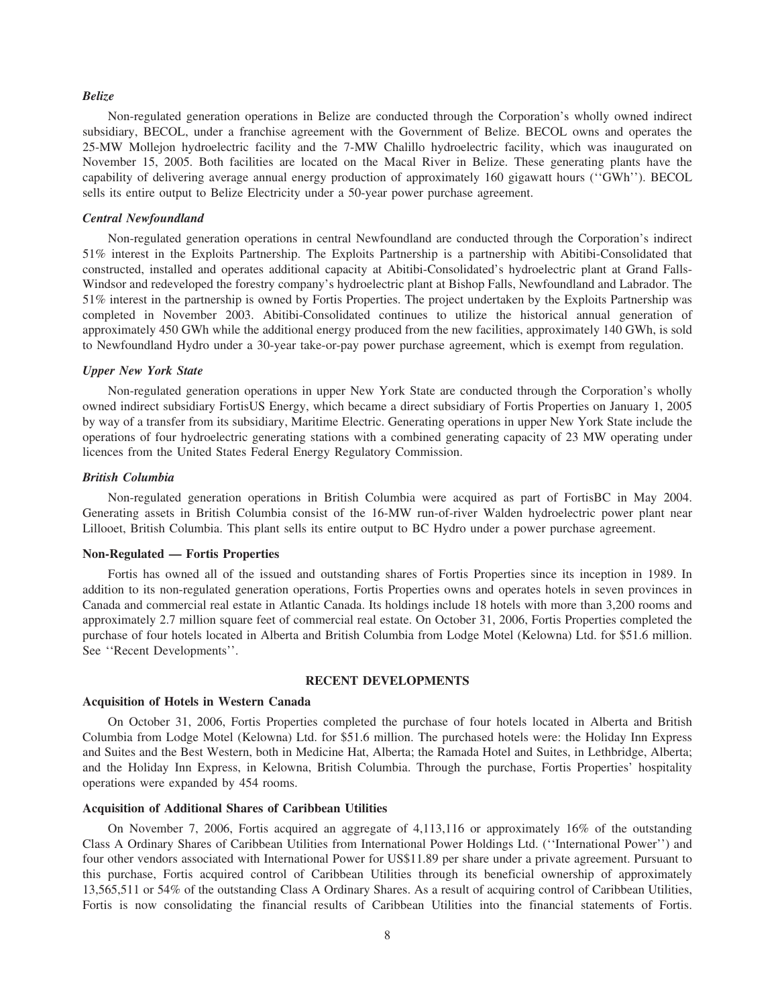#### *Belize*

Non-regulated generation operations in Belize are conducted through the Corporation's wholly owned indirect subsidiary, BECOL, under a franchise agreement with the Government of Belize. BECOL owns and operates the 25-MW Mollejon hydroelectric facility and the 7-MW Chalillo hydroelectric facility, which was inaugurated on November 15, 2005. Both facilities are located on the Macal River in Belize. These generating plants have the capability of delivering average annual energy production of approximately 160 gigawatt hours (''GWh''). BECOL sells its entire output to Belize Electricity under a 50-year power purchase agreement.

#### *Central Newfoundland*

Non-regulated generation operations in central Newfoundland are conducted through the Corporation's indirect 51% interest in the Exploits Partnership. The Exploits Partnership is a partnership with Abitibi-Consolidated that constructed, installed and operates additional capacity at Abitibi-Consolidated's hydroelectric plant at Grand Falls-Windsor and redeveloped the forestry company's hydroelectric plant at Bishop Falls, Newfoundland and Labrador. The 51% interest in the partnership is owned by Fortis Properties. The project undertaken by the Exploits Partnership was completed in November 2003. Abitibi-Consolidated continues to utilize the historical annual generation of approximately 450 GWh while the additional energy produced from the new facilities, approximately 140 GWh, is sold to Newfoundland Hydro under a 30-year take-or-pay power purchase agreement, which is exempt from regulation.

#### *Upper New York State*

Non-regulated generation operations in upper New York State are conducted through the Corporation's wholly owned indirect subsidiary FortisUS Energy, which became a direct subsidiary of Fortis Properties on January 1, 2005 by way of a transfer from its subsidiary, Maritime Electric. Generating operations in upper New York State include the operations of four hydroelectric generating stations with a combined generating capacity of 23 MW operating under licences from the United States Federal Energy Regulatory Commission.

#### *British Columbia*

Non-regulated generation operations in British Columbia were acquired as part of FortisBC in May 2004. Generating assets in British Columbia consist of the 16-MW run-of-river Walden hydroelectric power plant near Lillooet, British Columbia. This plant sells its entire output to BC Hydro under a power purchase agreement.

#### **Non-Regulated — Fortis Properties**

Fortis has owned all of the issued and outstanding shares of Fortis Properties since its inception in 1989. In addition to its non-regulated generation operations, Fortis Properties owns and operates hotels in seven provinces in Canada and commercial real estate in Atlantic Canada. Its holdings include 18 hotels with more than 3,200 rooms and approximately 2.7 million square feet of commercial real estate. On October 31, 2006, Fortis Properties completed the purchase of four hotels located in Alberta and British Columbia from Lodge Motel (Kelowna) Ltd. for \$51.6 million. See ''Recent Developments''.

#### **RECENT DEVELOPMENTS**

#### **Acquisition of Hotels in Western Canada**

On October 31, 2006, Fortis Properties completed the purchase of four hotels located in Alberta and British Columbia from Lodge Motel (Kelowna) Ltd. for \$51.6 million. The purchased hotels were: the Holiday Inn Express and Suites and the Best Western, both in Medicine Hat, Alberta; the Ramada Hotel and Suites, in Lethbridge, Alberta; and the Holiday Inn Express, in Kelowna, British Columbia. Through the purchase, Fortis Properties' hospitality operations were expanded by 454 rooms.

#### **Acquisition of Additional Shares of Caribbean Utilities**

On November 7, 2006, Fortis acquired an aggregate of 4,113,116 or approximately 16% of the outstanding Class A Ordinary Shares of Caribbean Utilities from International Power Holdings Ltd. (''International Power'') and four other vendors associated with International Power for US\$11.89 per share under a private agreement. Pursuant to this purchase, Fortis acquired control of Caribbean Utilities through its beneficial ownership of approximately 13,565,511 or 54% of the outstanding Class A Ordinary Shares. As a result of acquiring control of Caribbean Utilities, Fortis is now consolidating the financial results of Caribbean Utilities into the financial statements of Fortis.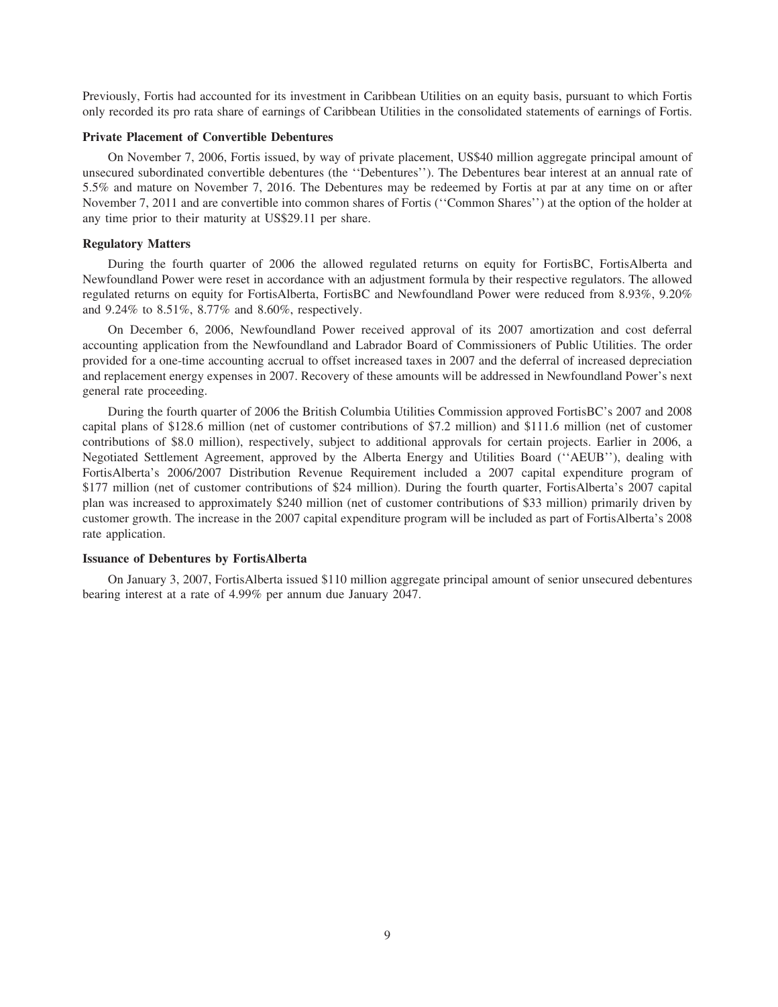Previously, Fortis had accounted for its investment in Caribbean Utilities on an equity basis, pursuant to which Fortis only recorded its pro rata share of earnings of Caribbean Utilities in the consolidated statements of earnings of Fortis.

#### **Private Placement of Convertible Debentures**

On November 7, 2006, Fortis issued, by way of private placement, US\$40 million aggregate principal amount of unsecured subordinated convertible debentures (the ''Debentures''). The Debentures bear interest at an annual rate of 5.5% and mature on November 7, 2016. The Debentures may be redeemed by Fortis at par at any time on or after November 7, 2011 and are convertible into common shares of Fortis (''Common Shares'') at the option of the holder at any time prior to their maturity at US\$29.11 per share.

#### **Regulatory Matters**

During the fourth quarter of 2006 the allowed regulated returns on equity for FortisBC, FortisAlberta and Newfoundland Power were reset in accordance with an adjustment formula by their respective regulators. The allowed regulated returns on equity for FortisAlberta, FortisBC and Newfoundland Power were reduced from 8.93%, 9.20% and 9.24% to 8.51%, 8.77% and 8.60%, respectively.

On December 6, 2006, Newfoundland Power received approval of its 2007 amortization and cost deferral accounting application from the Newfoundland and Labrador Board of Commissioners of Public Utilities. The order provided for a one-time accounting accrual to offset increased taxes in 2007 and the deferral of increased depreciation and replacement energy expenses in 2007. Recovery of these amounts will be addressed in Newfoundland Power's next general rate proceeding.

During the fourth quarter of 2006 the British Columbia Utilities Commission approved FortisBC's 2007 and 2008 capital plans of \$128.6 million (net of customer contributions of \$7.2 million) and \$111.6 million (net of customer contributions of \$8.0 million), respectively, subject to additional approvals for certain projects. Earlier in 2006, a Negotiated Settlement Agreement, approved by the Alberta Energy and Utilities Board (''AEUB''), dealing with FortisAlberta's 2006/2007 Distribution Revenue Requirement included a 2007 capital expenditure program of \$177 million (net of customer contributions of \$24 million). During the fourth quarter, FortisAlberta's 2007 capital plan was increased to approximately \$240 million (net of customer contributions of \$33 million) primarily driven by customer growth. The increase in the 2007 capital expenditure program will be included as part of FortisAlberta's 2008 rate application.

## **Issuance of Debentures by FortisAlberta**

On January 3, 2007, FortisAlberta issued \$110 million aggregate principal amount of senior unsecured debentures bearing interest at a rate of 4.99% per annum due January 2047.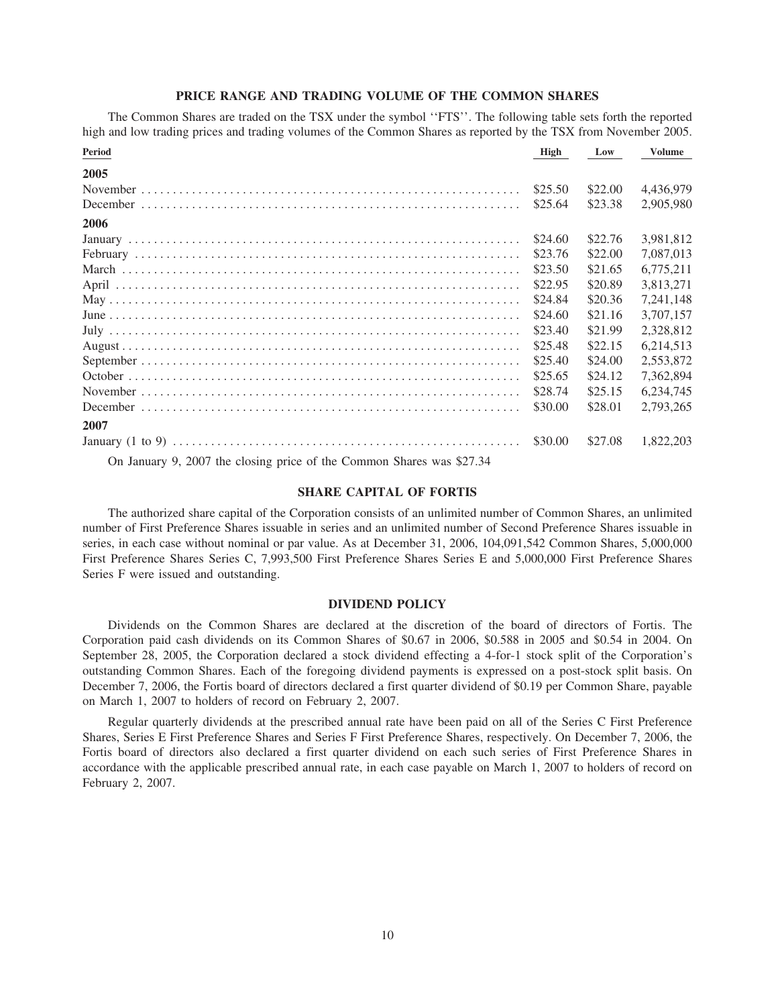#### **PRICE RANGE AND TRADING VOLUME OF THE COMMON SHARES**

The Common Shares are traded on the TSX under the symbol ''FTS''. The following table sets forth the reported high and low trading prices and trading volumes of the Common Shares as reported by the TSX from November 2005.

| <b>Period</b>                                                         | High    | Low     | <b>Volume</b> |
|-----------------------------------------------------------------------|---------|---------|---------------|
| 2005                                                                  |         |         |               |
|                                                                       | \$25.50 | \$22.00 | 4.436.979     |
|                                                                       | \$25.64 | \$23.38 | 2,905,980     |
| 2006                                                                  |         |         |               |
|                                                                       | \$24.60 | \$22.76 | 3,981,812     |
|                                                                       | \$23.76 | \$22.00 | 7,087,013     |
|                                                                       | \$23.50 | \$21.65 | 6.775.211     |
|                                                                       | \$22.95 | \$20.89 | 3,813,271     |
|                                                                       | \$24.84 | \$20.36 | 7.241.148     |
|                                                                       | \$24.60 | \$21.16 | 3,707,157     |
|                                                                       | \$23.40 | \$21.99 | 2,328,812     |
|                                                                       | \$25.48 | \$22.15 | 6,214,513     |
|                                                                       | \$25.40 | \$24.00 | 2,553,872     |
|                                                                       | \$25.65 | \$24.12 | 7,362,894     |
|                                                                       | \$28.74 | \$25.15 | 6,234,745     |
|                                                                       | \$30.00 | \$28.01 | 2,793,265     |
| 2007                                                                  |         |         |               |
|                                                                       | \$30.00 | \$27.08 | 1,822,203     |
| On January 9, 2007 the closing price of the Common Shares was \$27.34 |         |         |               |

#### **SHARE CAPITAL OF FORTIS**

The authorized share capital of the Corporation consists of an unlimited number of Common Shares, an unlimited number of First Preference Shares issuable in series and an unlimited number of Second Preference Shares issuable in series, in each case without nominal or par value. As at December 31, 2006, 104,091,542 Common Shares, 5,000,000 First Preference Shares Series C, 7,993,500 First Preference Shares Series E and 5,000,000 First Preference Shares Series F were issued and outstanding.

#### **DIVIDEND POLICY**

Dividends on the Common Shares are declared at the discretion of the board of directors of Fortis. The Corporation paid cash dividends on its Common Shares of \$0.67 in 2006, \$0.588 in 2005 and \$0.54 in 2004. On September 28, 2005, the Corporation declared a stock dividend effecting a 4-for-1 stock split of the Corporation's outstanding Common Shares. Each of the foregoing dividend payments is expressed on a post-stock split basis. On December 7, 2006, the Fortis board of directors declared a first quarter dividend of \$0.19 per Common Share, payable on March 1, 2007 to holders of record on February 2, 2007.

Regular quarterly dividends at the prescribed annual rate have been paid on all of the Series C First Preference Shares, Series E First Preference Shares and Series F First Preference Shares, respectively. On December 7, 2006, the Fortis board of directors also declared a first quarter dividend on each such series of First Preference Shares in accordance with the applicable prescribed annual rate, in each case payable on March 1, 2007 to holders of record on February 2, 2007.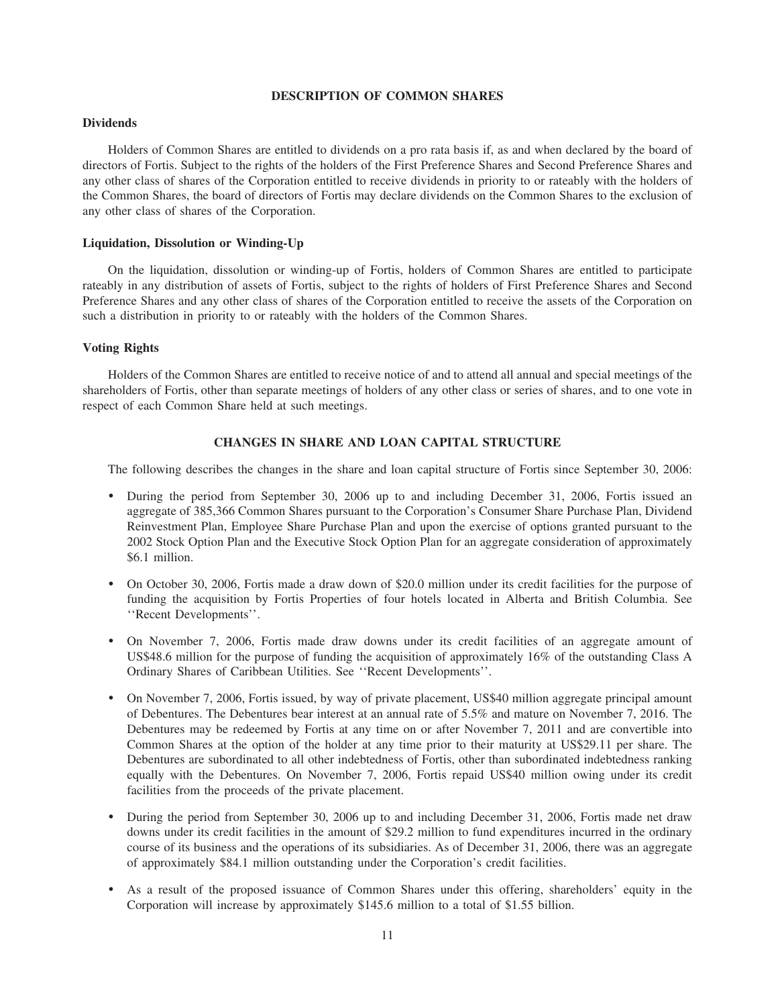#### **DESCRIPTION OF COMMON SHARES**

### **Dividends**

Holders of Common Shares are entitled to dividends on a pro rata basis if, as and when declared by the board of directors of Fortis. Subject to the rights of the holders of the First Preference Shares and Second Preference Shares and any other class of shares of the Corporation entitled to receive dividends in priority to or rateably with the holders of the Common Shares, the board of directors of Fortis may declare dividends on the Common Shares to the exclusion of any other class of shares of the Corporation.

#### **Liquidation, Dissolution or Winding-Up**

On the liquidation, dissolution or winding-up of Fortis, holders of Common Shares are entitled to participate rateably in any distribution of assets of Fortis, subject to the rights of holders of First Preference Shares and Second Preference Shares and any other class of shares of the Corporation entitled to receive the assets of the Corporation on such a distribution in priority to or rateably with the holders of the Common Shares.

# **Voting Rights**

Holders of the Common Shares are entitled to receive notice of and to attend all annual and special meetings of the shareholders of Fortis, other than separate meetings of holders of any other class or series of shares, and to one vote in respect of each Common Share held at such meetings.

# **CHANGES IN SHARE AND LOAN CAPITAL STRUCTURE**

The following describes the changes in the share and loan capital structure of Fortis since September 30, 2006:

- ) During the period from September 30, 2006 up to and including December 31, 2006, Fortis issued an aggregate of 385,366 Common Shares pursuant to the Corporation's Consumer Share Purchase Plan, Dividend Reinvestment Plan, Employee Share Purchase Plan and upon the exercise of options granted pursuant to the 2002 Stock Option Plan and the Executive Stock Option Plan for an aggregate consideration of approximately \$6.1 million.
- ) On October 30, 2006, Fortis made a draw down of \$20.0 million under its credit facilities for the purpose of funding the acquisition by Fortis Properties of four hotels located in Alberta and British Columbia. See ''Recent Developments''.
- ) On November 7, 2006, Fortis made draw downs under its credit facilities of an aggregate amount of US\$48.6 million for the purpose of funding the acquisition of approximately 16% of the outstanding Class A Ordinary Shares of Caribbean Utilities. See ''Recent Developments''.
- ) On November 7, 2006, Fortis issued, by way of private placement, US\$40 million aggregate principal amount of Debentures. The Debentures bear interest at an annual rate of 5.5% and mature on November 7, 2016. The Debentures may be redeemed by Fortis at any time on or after November 7, 2011 and are convertible into Common Shares at the option of the holder at any time prior to their maturity at US\$29.11 per share. The Debentures are subordinated to all other indebtedness of Fortis, other than subordinated indebtedness ranking equally with the Debentures. On November 7, 2006, Fortis repaid US\$40 million owing under its credit facilities from the proceeds of the private placement.
- ) During the period from September 30, 2006 up to and including December 31, 2006, Fortis made net draw downs under its credit facilities in the amount of \$29.2 million to fund expenditures incurred in the ordinary course of its business and the operations of its subsidiaries. As of December 31, 2006, there was an aggregate of approximately \$84.1 million outstanding under the Corporation's credit facilities.
- ) As a result of the proposed issuance of Common Shares under this offering, shareholders' equity in the Corporation will increase by approximately \$145.6 million to a total of \$1.55 billion.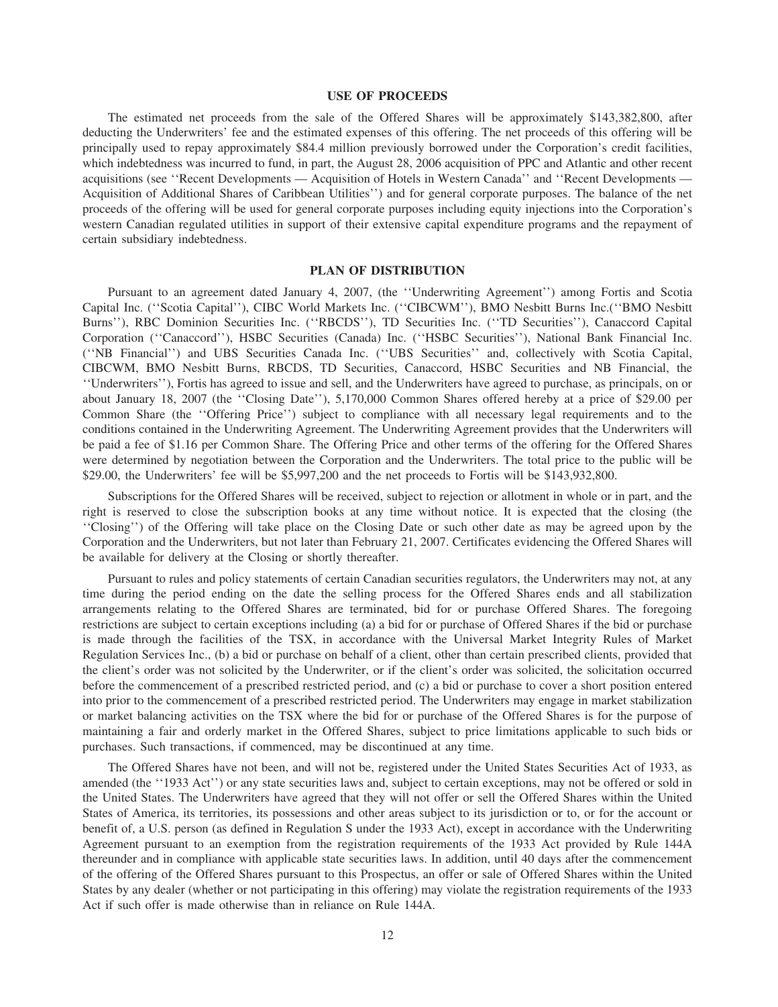### **USE OF PROCEEDS**

The estimated net proceeds from the sale of the Offered Shares will be approximately \$143,382,800, after deducting the Underwriters' fee and the estimated expenses of this offering. The net proceeds of this offering will be principally used to repay approximately \$84.4 million previously borrowed under the Corporation's credit facilities, which indebtedness was incurred to fund, in part, the August 28, 2006 acquisition of PPC and Atlantic and other recent acquisitions (see ''Recent Developments — Acquisition of Hotels in Western Canada'' and ''Recent Developments — Acquisition of Additional Shares of Caribbean Utilities'') and for general corporate purposes. The balance of the net proceeds of the offering will be used for general corporate purposes including equity injections into the Corporation's western Canadian regulated utilities in support of their extensive capital expenditure programs and the repayment of certain subsidiary indebtedness.

#### **PLAN OF DISTRIBUTION**

Pursuant to an agreement dated January 4, 2007, (the ''Underwriting Agreement'') among Fortis and Scotia Capital Inc. (''Scotia Capital''), CIBC World Markets Inc. (''CIBCWM''), BMO Nesbitt Burns Inc.(''BMO Nesbitt Burns''), RBC Dominion Securities Inc. (''RBCDS''), TD Securities Inc. (''TD Securities''), Canaccord Capital Corporation (''Canaccord''), HSBC Securities (Canada) Inc. (''HSBC Securities''), National Bank Financial Inc. (''NB Financial'') and UBS Securities Canada Inc. (''UBS Securities'' and, collectively with Scotia Capital, CIBCWM, BMO Nesbitt Burns, RBCDS, TD Securities, Canaccord, HSBC Securities and NB Financial, the ''Underwriters''), Fortis has agreed to issue and sell, and the Underwriters have agreed to purchase, as principals, on or about January 18, 2007 (the ''Closing Date''), 5,170,000 Common Shares offered hereby at a price of \$29.00 per Common Share (the ''Offering Price'') subject to compliance with all necessary legal requirements and to the conditions contained in the Underwriting Agreement. The Underwriting Agreement provides that the Underwriters will be paid a fee of \$1.16 per Common Share. The Offering Price and other terms of the offering for the Offered Shares were determined by negotiation between the Corporation and the Underwriters. The total price to the public will be \$29.00, the Underwriters' fee will be \$5,997,200 and the net proceeds to Fortis will be \$143,932,800.

Subscriptions for the Offered Shares will be received, subject to rejection or allotment in whole or in part, and the right is reserved to close the subscription books at any time without notice. It is expected that the closing (the ''Closing'') of the Offering will take place on the Closing Date or such other date as may be agreed upon by the Corporation and the Underwriters, but not later than February 21, 2007. Certificates evidencing the Offered Shares will be available for delivery at the Closing or shortly thereafter.

Pursuant to rules and policy statements of certain Canadian securities regulators, the Underwriters may not, at any time during the period ending on the date the selling process for the Offered Shares ends and all stabilization arrangements relating to the Offered Shares are terminated, bid for or purchase Offered Shares. The foregoing restrictions are subject to certain exceptions including (a) a bid for or purchase of Offered Shares if the bid or purchase is made through the facilities of the TSX, in accordance with the Universal Market Integrity Rules of Market Regulation Services Inc., (b) a bid or purchase on behalf of a client, other than certain prescribed clients, provided that the client's order was not solicited by the Underwriter, or if the client's order was solicited, the solicitation occurred before the commencement of a prescribed restricted period, and (c) a bid or purchase to cover a short position entered into prior to the commencement of a prescribed restricted period. The Underwriters may engage in market stabilization or market balancing activities on the TSX where the bid for or purchase of the Offered Shares is for the purpose of maintaining a fair and orderly market in the Offered Shares, subject to price limitations applicable to such bids or purchases. Such transactions, if commenced, may be discontinued at any time.

The Offered Shares have not been, and will not be, registered under the United States Securities Act of 1933, as amended (the "1933 Act") or any state securities laws and, subject to certain exceptions, may not be offered or sold in the United States. The Underwriters have agreed that they will not offer or sell the Offered Shares within the United States of America, its territories, its possessions and other areas subject to its jurisdiction or to, or for the account or benefit of, a U.S. person (as defined in Regulation S under the 1933 Act), except in accordance with the Underwriting Agreement pursuant to an exemption from the registration requirements of the 1933 Act provided by Rule 144A thereunder and in compliance with applicable state securities laws. In addition, until 40 days after the commencement of the offering of the Offered Shares pursuant to this Prospectus, an offer or sale of Offered Shares within the United States by any dealer (whether or not participating in this offering) may violate the registration requirements of the 1933 Act if such offer is made otherwise than in reliance on Rule 144A.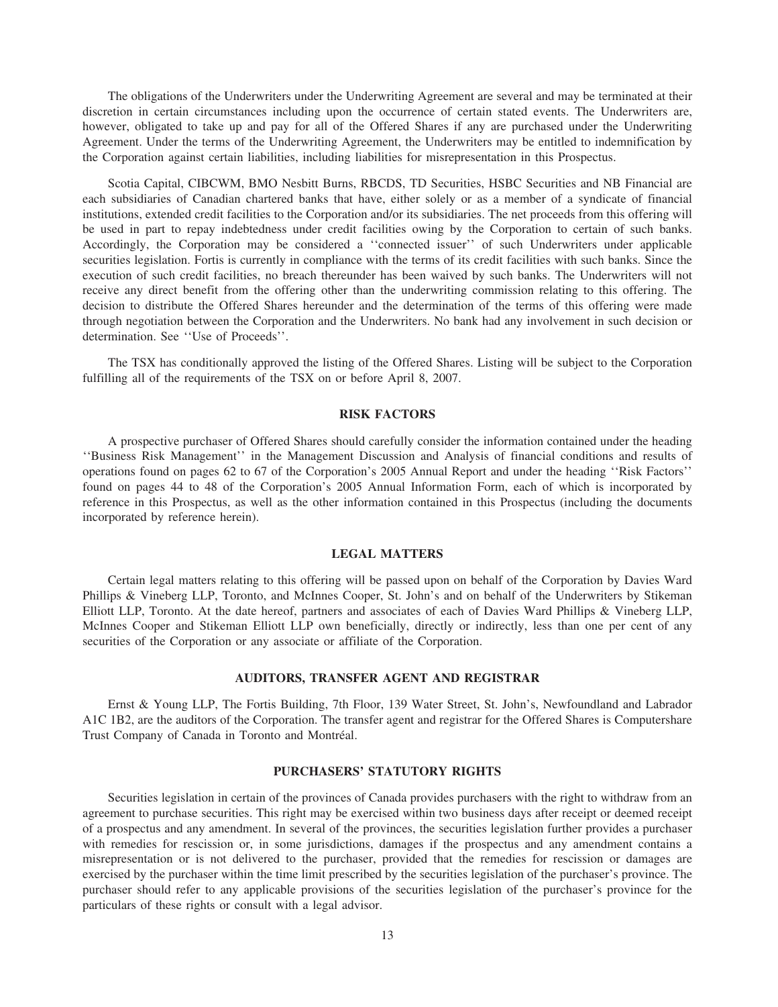The obligations of the Underwriters under the Underwriting Agreement are several and may be terminated at their discretion in certain circumstances including upon the occurrence of certain stated events. The Underwriters are, however, obligated to take up and pay for all of the Offered Shares if any are purchased under the Underwriting Agreement. Under the terms of the Underwriting Agreement, the Underwriters may be entitled to indemnification by the Corporation against certain liabilities, including liabilities for misrepresentation in this Prospectus.

Scotia Capital, CIBCWM, BMO Nesbitt Burns, RBCDS, TD Securities, HSBC Securities and NB Financial are each subsidiaries of Canadian chartered banks that have, either solely or as a member of a syndicate of financial institutions, extended credit facilities to the Corporation and/or its subsidiaries. The net proceeds from this offering will be used in part to repay indebtedness under credit facilities owing by the Corporation to certain of such banks. Accordingly, the Corporation may be considered a ''connected issuer'' of such Underwriters under applicable securities legislation. Fortis is currently in compliance with the terms of its credit facilities with such banks. Since the execution of such credit facilities, no breach thereunder has been waived by such banks. The Underwriters will not receive any direct benefit from the offering other than the underwriting commission relating to this offering. The decision to distribute the Offered Shares hereunder and the determination of the terms of this offering were made through negotiation between the Corporation and the Underwriters. No bank had any involvement in such decision or determination. See ''Use of Proceeds''.

The TSX has conditionally approved the listing of the Offered Shares. Listing will be subject to the Corporation fulfilling all of the requirements of the TSX on or before April 8, 2007.

# **RISK FACTORS**

A prospective purchaser of Offered Shares should carefully consider the information contained under the heading ''Business Risk Management'' in the Management Discussion and Analysis of financial conditions and results of operations found on pages 62 to 67 of the Corporation's 2005 Annual Report and under the heading ''Risk Factors'' found on pages 44 to 48 of the Corporation's 2005 Annual Information Form, each of which is incorporated by reference in this Prospectus, as well as the other information contained in this Prospectus (including the documents incorporated by reference herein).

#### **LEGAL MATTERS**

Certain legal matters relating to this offering will be passed upon on behalf of the Corporation by Davies Ward Phillips & Vineberg LLP, Toronto, and McInnes Cooper, St. John's and on behalf of the Underwriters by Stikeman Elliott LLP, Toronto. At the date hereof, partners and associates of each of Davies Ward Phillips & Vineberg LLP, McInnes Cooper and Stikeman Elliott LLP own beneficially, directly or indirectly, less than one per cent of any securities of the Corporation or any associate or affiliate of the Corporation.

#### **AUDITORS, TRANSFER AGENT AND REGISTRAR**

Ernst & Young LLP, The Fortis Building, 7th Floor, 139 Water Street, St. John's, Newfoundland and Labrador A1C 1B2, are the auditors of the Corporation. The transfer agent and registrar for the Offered Shares is Computershare Trust Company of Canada in Toronto and Montréal.

#### **PURCHASERS' STATUTORY RIGHTS**

Securities legislation in certain of the provinces of Canada provides purchasers with the right to withdraw from an agreement to purchase securities. This right may be exercised within two business days after receipt or deemed receipt of a prospectus and any amendment. In several of the provinces, the securities legislation further provides a purchaser with remedies for rescission or, in some jurisdictions, damages if the prospectus and any amendment contains a misrepresentation or is not delivered to the purchaser, provided that the remedies for rescission or damages are exercised by the purchaser within the time limit prescribed by the securities legislation of the purchaser's province. The purchaser should refer to any applicable provisions of the securities legislation of the purchaser's province for the particulars of these rights or consult with a legal advisor.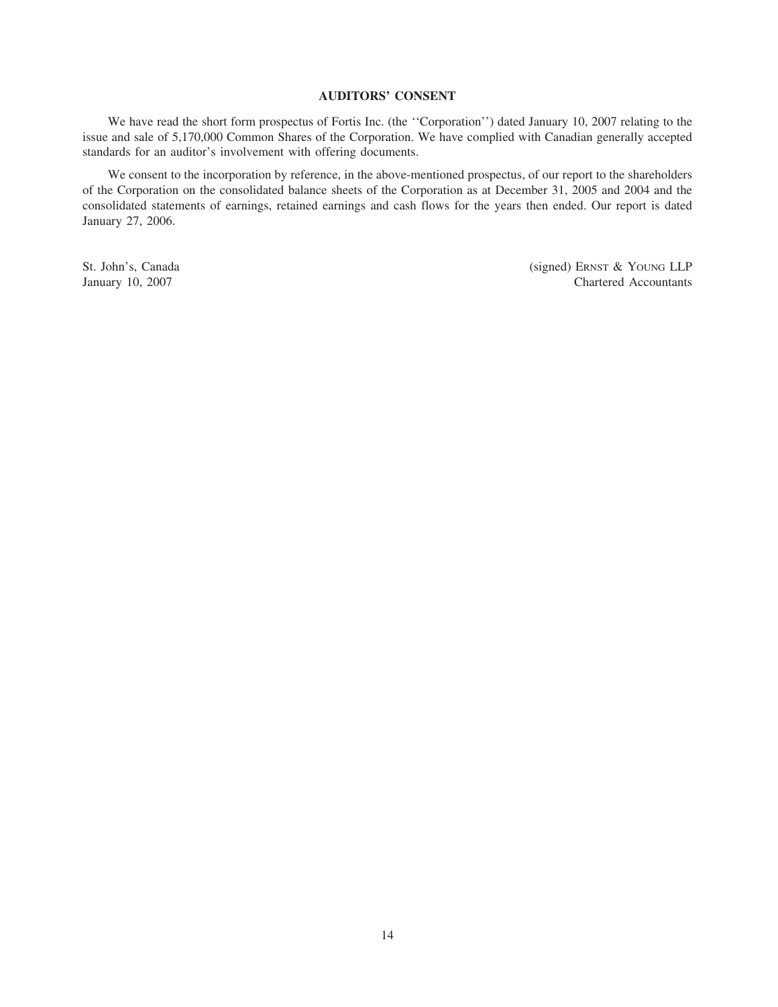# **AUDITORS' CONSENT**

We have read the short form prospectus of Fortis Inc. (the ''Corporation'') dated January 10, 2007 relating to the issue and sale of 5,170,000 Common Shares of the Corporation. We have complied with Canadian generally accepted standards for an auditor's involvement with offering documents.

We consent to the incorporation by reference, in the above-mentioned prospectus, of our report to the shareholders of the Corporation on the consolidated balance sheets of the Corporation as at December 31, 2005 and 2004 and the consolidated statements of earnings, retained earnings and cash flows for the years then ended. Our report is dated January 27, 2006.

St. John's, Canada (signed) ERNST & YOUNG LLP January 10, 2007 Chartered Accountants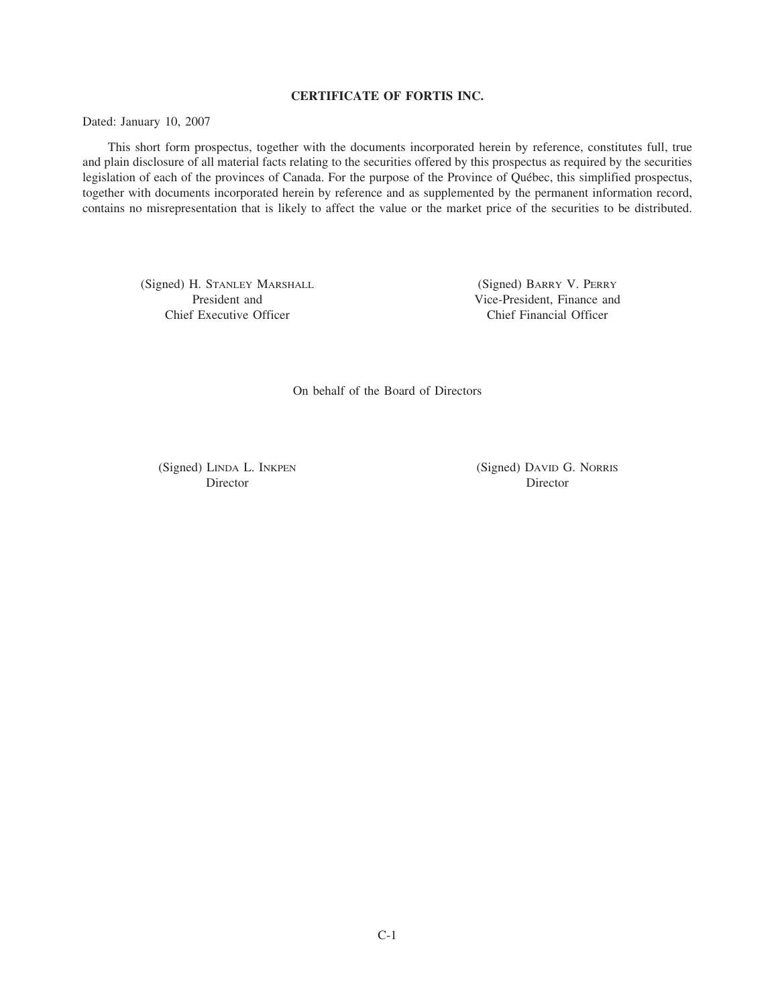# **CERTIFICATE OF FORTIS INC.**

Dated: January 10, 2007

This short form prospectus, together with the documents incorporated herein by reference, constitutes full, true and plain disclosure of all material facts relating to the securities offered by this prospectus as required by the securities legislation of each of the provinces of Canada. For the purpose of the Province of Québec, this simplified prospectus, together with documents incorporated herein by reference and as supplemented by the permanent information record, contains no misrepresentation that is likely to affect the value or the market price of the securities to be distributed.

(Signed) H. STANLEY MARSHALL (Signed) BARRY V. PERRY Chief Executive Officer Chief Financial Officer

President and Vice-President, Finance and

On behalf of the Board of Directors

Director Director

(Signed) LINDA L. INKPEN (Signed) DAVID G. NORRIS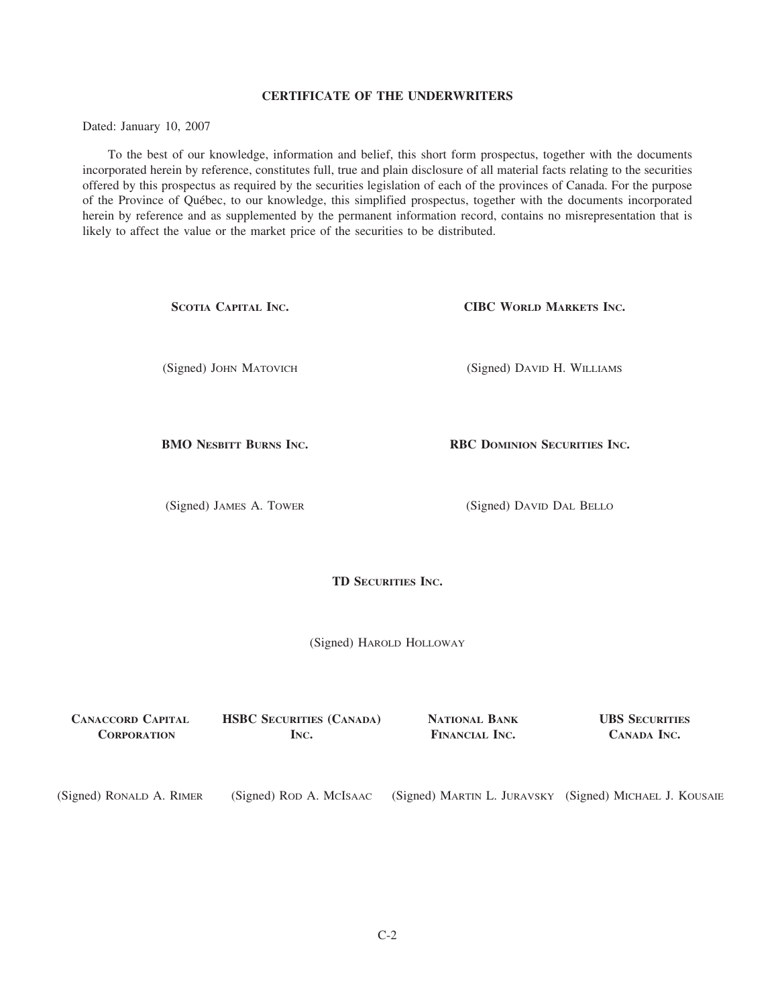# **CERTIFICATE OF THE UNDERWRITERS**

Dated: January 10, 2007

To the best of our knowledge, information and belief, this short form prospectus, together with the documents incorporated herein by reference, constitutes full, true and plain disclosure of all material facts relating to the securities offered by this prospectus as required by the securities legislation of each of the provinces of Canada. For the purpose of the Province of Qu´ebec, to our knowledge, this simplified prospectus, together with the documents incorporated herein by reference and as supplemented by the permanent information record, contains no misrepresentation that is likely to affect the value or the market price of the securities to be distributed.

| SCOTIA CAPITAL INC.           |                           | <b>CIBC WORLD MARKETS INC.</b> |
|-------------------------------|---------------------------|--------------------------------|
| (Signed) JOHN MATOVICH        |                           | (Signed) DAVID H. WILLIAMS     |
| <b>BMO NESBITT BURNS INC.</b> |                           | RBC DOMINION SECURITIES INC.   |
| (Signed) JAMES A. TOWER       |                           | (Signed) DAVID DAL BELLO       |
|                               | <b>TD SECURITIES INC.</b> |                                |

(Signed) HAROLD HOLLOWAY

**CANACCORD CAPITAL HSBC SECURITIES (CANADA) NATIONAL BANK UBS SECURITIES CORPORATION INC. FINANCIAL INC. CANADA INC.**

(Signed) RONALD A. RIMER (Signed) ROD A. MCISAAC (Signed) MARTIN L. JURAVSKY (Signed) MICHAEL J. KOUSAIE